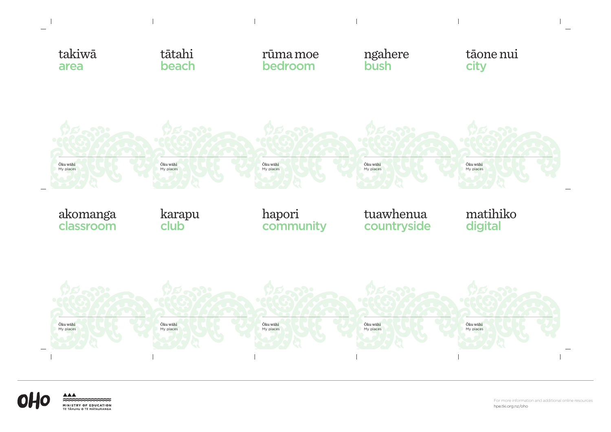For more information and additional online resources hpe.tki.org.nz/oho



 $\overline{1}$ 





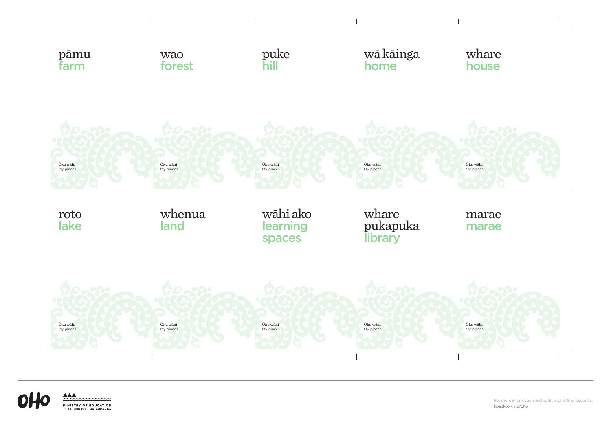For more information and additional online resources hpe.tki.org.nz/oho





 $\approx$ 

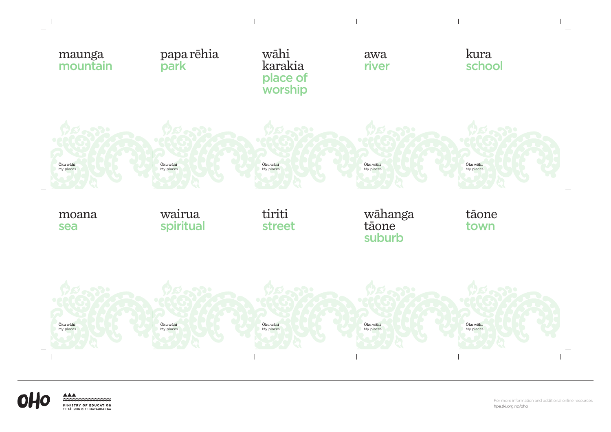For more information and additional online resources hpe.tki.org.nz/oho





 $\sim$